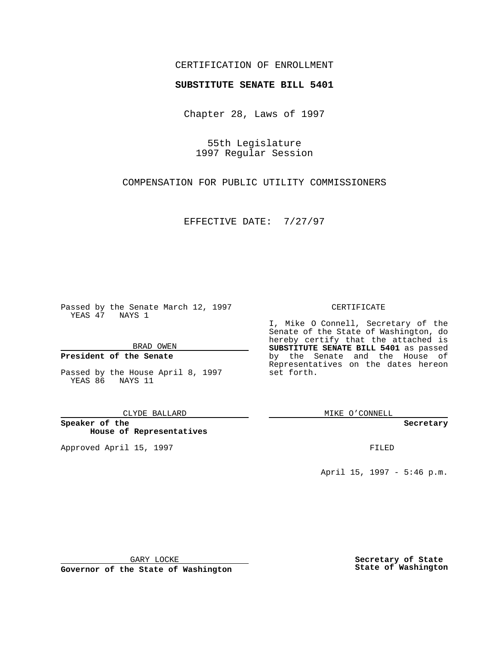## CERTIFICATION OF ENROLLMENT

# **SUBSTITUTE SENATE BILL 5401**

Chapter 28, Laws of 1997

55th Legislature 1997 Regular Session

COMPENSATION FOR PUBLIC UTILITY COMMISSIONERS

EFFECTIVE DATE: 7/27/97

Passed by the Senate March 12, 1997 YEAS 47 NAYS 1

BRAD OWEN

### **President of the Senate**

Passed by the House April 8, 1997 YEAS 86 NAYS 11

CLYDE BALLARD

**Speaker of the House of Representatives**

Approved April 15, 1997 **FILED** 

#### CERTIFICATE

I, Mike O Connell, Secretary of the Senate of the State of Washington, do hereby certify that the attached is **SUBSTITUTE SENATE BILL 5401** as passed by the Senate and the House of Representatives on the dates hereon set forth.

MIKE O'CONNELL

**Secretary**

April 15, 1997 - 5:46 p.m.

GARY LOCKE

**Governor of the State of Washington**

**Secretary of State State of Washington**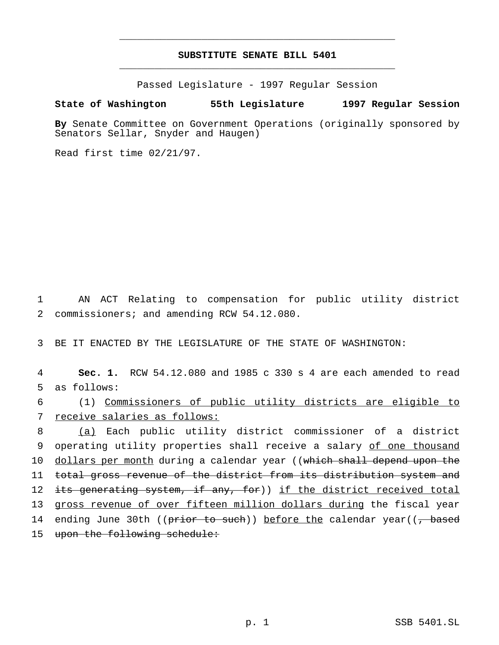# **SUBSTITUTE SENATE BILL 5401** \_\_\_\_\_\_\_\_\_\_\_\_\_\_\_\_\_\_\_\_\_\_\_\_\_\_\_\_\_\_\_\_\_\_\_\_\_\_\_\_\_\_\_\_\_\_\_

\_\_\_\_\_\_\_\_\_\_\_\_\_\_\_\_\_\_\_\_\_\_\_\_\_\_\_\_\_\_\_\_\_\_\_\_\_\_\_\_\_\_\_\_\_\_\_

Passed Legislature - 1997 Regular Session

### **State of Washington 55th Legislature 1997 Regular Session**

**By** Senate Committee on Government Operations (originally sponsored by Senators Sellar, Snyder and Haugen)

Read first time 02/21/97.

1 AN ACT Relating to compensation for public utility district 2 commissioners; and amending RCW 54.12.080.

3 BE IT ENACTED BY THE LEGISLATURE OF THE STATE OF WASHINGTON:

4 **Sec. 1.** RCW 54.12.080 and 1985 c 330 s 4 are each amended to read 5 as follows:

6 (1) Commissioners of public utility districts are eligible to 7 receive salaries as follows:

8 (a) Each public utility district commissioner of a district 9 operating utility properties shall receive a salary of one thousand 10 dollars per month during a calendar year ((which shall depend upon the 11 total gross revenue of the district from its distribution system and 12 its generating system, if any, for)) if the district received total 13 gross revenue of over fifteen million dollars during the fiscal year 14 ending June 30th ((prior to such)) before the calendar year((, based 15 upon the following schedule: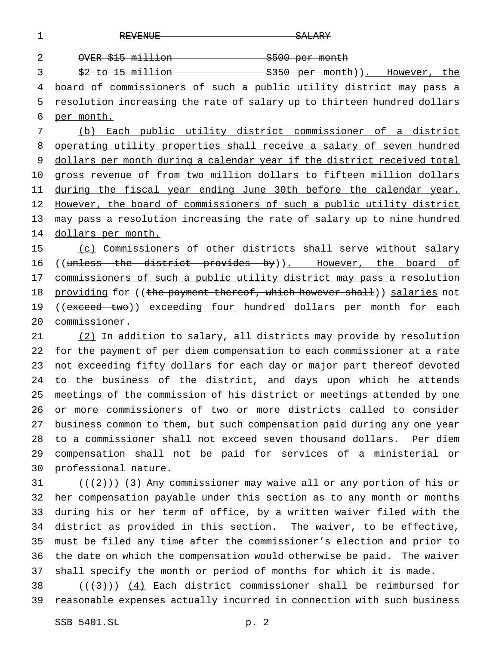1 REVENUE REGIONALE SALARY OVER \$15 million \$500 per month 3 \$2 to 15 million 3350 per month)). However, the board of commissioners of such a public utility district may pass a 5 resolution increasing the rate of salary up to thirteen hundred dollars per month. (b) Each public utility district commissioner of a district operating utility properties shall receive a salary of seven hundred 9 dollars per month during a calendar year if the district received total gross revenue of from two million dollars to fifteen million dollars 11 during the fiscal year ending June 30th before the calendar year. However, the board of commissioners of such a public utility district 13 may pass a resolution increasing the rate of salary up to nine hundred 14 dollars per month. (c) Commissioners of other districts shall serve without salary

16 ((unless the district provides by)). However, the board of 17 commissioners of such a public utility district may pass a resolution 18 providing for ((the payment thereof, which however shall)) salaries not 19 ((exceed two)) exceeding four hundred dollars per month for each commissioner.

 (2) In addition to salary, all districts may provide by resolution for the payment of per diem compensation to each commissioner at a rate not exceeding fifty dollars for each day or major part thereof devoted to the business of the district, and days upon which he attends meetings of the commission of his district or meetings attended by one or more commissioners of two or more districts called to consider business common to them, but such compensation paid during any one year to a commissioner shall not exceed seven thousand dollars. Per diem compensation shall not be paid for services of a ministerial or professional nature.

 $((+2)^{n})$  (3) Any commissioner may waive all or any portion of his or her compensation payable under this section as to any month or months during his or her term of office, by a written waiver filed with the district as provided in this section. The waiver, to be effective, must be filed any time after the commissioner's election and prior to the date on which the compensation would otherwise be paid. The waiver shall specify the month or period of months for which it is made.

38  $((+3))$   $(4)$  Each district commissioner shall be reimbursed for reasonable expenses actually incurred in connection with such business